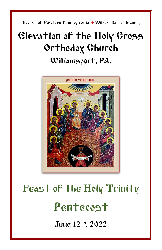Diocese of Eastern Pennsylvania **+** Wilkes-Barre Deanery

## Elevation of the Holy Cross Orthodox Church Williamsport, PA.



# Feast of the Holy Trinity Pentecost

June 12th, 2022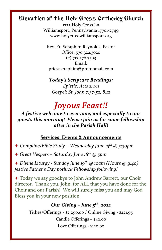## Elevation of the Holy Cross Orthodox Church

1725 Holy Cross Ln Williamsport, Pennsylvania 17701-2749 www.holycrosswilliamsport.org

Rev. Fr. Seraphim Reynolds, Pastor Office: 570.322.3020 (c) 717.576.3503 Email: priestseraphim@protonmail.com

#### *Today's Scripture Readings:*

*Epistle: Acts 2: 1-11 Gospel: St. John 7:37-52, 8:12*

## *Joyous Feast!!*

*A festive welcome to everyone, and especially to our guests this morning! Please join us for some fellowship after in the Parish Hall!*

## **Services, Events & Announcements**

+ *Compline/Bible Study – Wednesday June 15th @ 5:30pm*

+ *Great Vespers – Saturday June 18 th @ 5pm*

+ *Divine Liturgy - Sunday June 19 th @ 10am (Hours @ 9:40) festive Father's Day potluck Fellowship following!*

+ Today we say goodbye to John Andrew Barrett, our Choir director. Thank you, John, for ALL that you have done for the Choir and our Parish! We will surely miss you and may God Bless you in your new position.

## *Our Giving – June 5 th , 2022*

Tithes/Offerings - \$2,290.00 / Online Giving - \$221.95 Candle Offerings – \$42.00 Love Offerings - \$120.00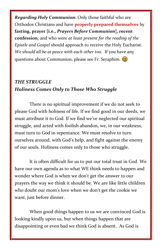*Regarding Holy Communion***:** Only those faithful who are Orthodox Christians and have **properly prepared themselves** by **fasting, prayer [i.e.,** *Prayers Before Communion***], recent confession**, and who were *at least present for the reading of the Epistle and Gospel* should approach to receive the Holy Eucharist. *We should all be at peace with each other too*. If you have any questions about Communion, please see Fr. Seraphim.

## *THE STRUGGLE Holiness Comes Only to Those Who Struggle*

There is no spiritual improvement if we do not seek to please God with holiness of life. If we find good in our deeds, we must attribute it to God. If we find we've neglected our spiritual struggle, and acted with foolish abandon, we, in our weakness, must turn to God in repentance. We must resolve to turn ourselves around, with God's help, and fight against the enemy of our souls. Holiness comes only to those who struggle.

It is often difficult for us to put our total trust in God. We have our own agenda as to what WE think needs to happen and wonder where God is when we don't get the answer to our prayers the way we think it should be. We are like little children who doubt our mom's love when we don't get the cookie we want, just before dinner.

When good things happen to us we are convinced God is looking kindly upon us, but when things happen that are disappointing or even bad we think God is absent. As God is